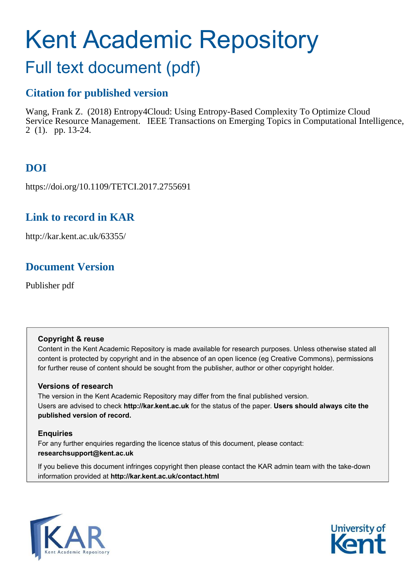# Kent Academic Repository

# Full text document (pdf)

# **Citation for published version**

Wang, Frank Z. (2018) Entropy4Cloud: Using Entropy-Based Complexity To Optimize Cloud Service Resource Management. IEEE Transactions on Emerging Topics in Computational Intelligence, 2 (1). pp. 13-24.

# **DOI**

https://doi.org/10.1109/TETCI.2017.2755691

# **Link to record in KAR**

http://kar.kent.ac.uk/63355/

# **Document Version**

Publisher pdf

## **Copyright & reuse**

Content in the Kent Academic Repository is made available for research purposes. Unless otherwise stated all content is protected by copyright and in the absence of an open licence (eg Creative Commons), permissions for further reuse of content should be sought from the publisher, author or other copyright holder.

## **Versions of research**

The version in the Kent Academic Repository may differ from the final published version. Users are advised to check **http://kar.kent.ac.uk** for the status of the paper. **Users should always cite the published version of record.**

## **Enquiries**

For any further enquiries regarding the licence status of this document, please contact: **researchsupport@kent.ac.uk**

If you believe this document infringes copyright then please contact the KAR admin team with the take-down information provided at **http://kar.kent.ac.uk/contact.html**



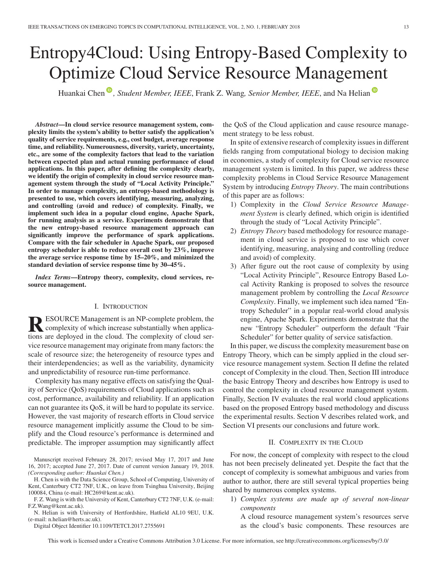# Entropy4Cloud: Using Entropy-Based Complexity to Optimize Cloud Service Resource Management

Huankai Chen<sup>®</sup>[,](https://orcid.org/0000-0001-5353-3319) *Student Member, IEEE*, Frank Z. Wang, *Senior Member, IEEE*, and Na Helian<sup>®</sup>

*Abstract***—In cloud service resource management system, complexity limits the system's ability to better satisfy the application's quality of service requirements, e.g., cost budget, average response time, and reliability. Numerousness, diversity, variety, uncertainty, etc., are some of the complexity factors that lead to the variation between expected plan and actual running performance of cloud applications. In this paper, after defining the complexity clearly, we identify the origin of complexity in cloud service resource management system through the study of "Local Activity Principle." In order to manage complexity, an entropy-based methodology is presented to use, which covers identifying, measuring, analyzing, and controlling (avoid and reduce) of complexity. Finally, we implement such idea in a popular cloud engine, Apache Spark, for running analysis as a service. Experiments demonstrate that the new entropy-based resource management approach can significantly improve the performance of spark applications. Compare with the fair scheduler in Apache Spark, our proposed entropy scheduler is able to reduce overall cost by 23%, improve the average service response time by 15–20%, and minimized the standard deviation of service response time by 30–45%.**

*Index Terms***—Entropy theory, complexity, cloud services, resource management.**

#### I. INTRODUCTION

**R** ESOURCE Management is an NP-complete problem, the complexity of which increase substantially when applications are deployed in the cloud. The complexity of cloud set complexity of which increase substantially when applications are deployed in the cloud. The complexity of cloud service resource management may originate from many factors: the scale of resource size; the heterogeneity of resource types and their interdependencies; as well as the variability, dynamicity and unpredictability of resource run-time performance.

Complexity has many negative effects on satisfying the Quality of Service (QoS) requirements of Cloud applications such as cost, performance, availability and reliability. If an application can not guarantee its QoS, it will be hard to populate its service. However, the vast majority of research efforts in Cloud service resource management implicitly assume the Cloud to be simplify and the Cloud resource's performance is determined and predictable. The improper assumption may significantly affect

Manuscript received February 28, 2017; revised May 17, 2017 and June 16, 2017; accepted June 27, 2017. Date of current version January 19, 2018. *(Corresponding author: Huankai Chen.)*

H. Chen is with the Data Science Group, School of Computing, University of Kent, Canterbury CT2 7NF, U.K., on leave from Tsinghua University, Beijing 100084, China (e-mail: HC269@kent.ac.uk).

F. Z. Wang is with the University of Kent, Canterbury CT2 7NF, U.K. (e-mail: F.Z.Wang@kent.ac.uk).

N. Helian is with University of Hertfordshire, Hatfield AL10 9EU, U.K. (e-mail: n.helian@herts.ac.uk).

Digital Object Identifier 10.1109/TETCI.2017.2755691

the QoS of the Cloud application and cause resource management strategy to be less robust.

In spite of extensive research of complexity issues in different fields ranging from computational biology to decision making in economies, a study of complexity for Cloud service resource management system is limited. In this paper, we address these complexity problems in Cloud Service Resource Management System by introducing *Entropy Theory*. The main contributions of this paper are as follows:

- 1) Complexity in the *Cloud Service Resource Management System* is clearly defined, which origin is identified through the study of "Local Activity Principle".
- 2) *Entropy Theory* based methodology for resource management in cloud service is proposed to use which cover identifying, measuring, analysing and controlling (reduce and avoid) of complexity.
- 3) After figure out the root cause of complexity by using "Local Activity Principle", Resource Entropy Based Local Activity Ranking is proposed to solves the resource management problem by controlling the *Local Resource Complexity*. Finally, we implement such idea named "Entropy Scheduler" in a popular real-world cloud analysis engine, Apache Spark. Experiments demonstrate that the new "Entropy Scheduler" outperform the default "Fair Scheduler" for better quality of service satisfaction.

In this paper, we discuss the complexity measurement base on Entropy Theory, which can be simply applied in the cloud service resource management system. Section II define the related concept of Complexity in the cloud. Then, Section III introduce the basic Entropy Theory and describes how Entropy is used to control the complexity in cloud resource management system. Finally, Section IV evaluates the real world cloud applications based on the proposed Entropy based methodology and discuss the experimental results. Section V describes related work, and Section VI presents our conclusions and future work.

#### II. COMPLEXITY IN THE CLOUD

For now, the concept of complexity with respect to the cloud has not been precisely delineated yet. Despite the fact that the concept of complexity is somewhat ambiguous and varies from author to author, there are still several typical properties being shared by numerous complex systems.

1) *Complex systems are made up of several non-linear components*

A cloud resource management system's resources serve as the cloud's basic components. These resources are

This work is licensed under a Creative Commons Attribution 3.0 License. For more information, see http://creativecommons.org/licenses/by/3.0/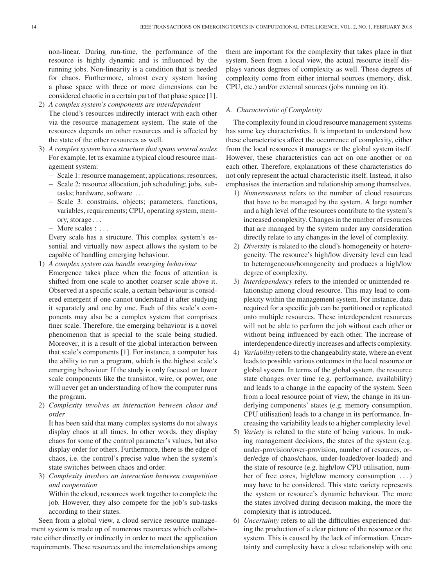non-linear. During run-time, the performance of the resource is highly dynamic and is influenced by the running jobs. Non-linearity is a condition that is needed for chaos. Furthermore, almost every system having a phase space with three or more dimensions can be considered chaotic in a certain part of that phase space [1].

2) *A complex system's components are interdependent* The cloud's resources indirectly interact with each other via the resource management system. The state of the resources depends on other resources and is affected by the state of the other resources as well.

- 3) *A complex system has a structure that spans several scales* For example, let us examine a typical cloud resource management system:
	- − Scale 1: resource management; applications; resources;
	- − Scale 2: resource allocation, job scheduling; jobs, subtasks; hardware, software . . .
	- − Scale 3: constrains, objects; parameters, functions, variables, requirements; CPU, operating system, memory, storage . . .
	- − More scales : . . .

Every scale has a structure. This complex system's essential and virtually new aspect allows the system to be capable of handling emerging behaviour.

- 1) *A complex system can handle emerging behaviour* Emergence takes place when the focus of attention is shifted from one scale to another coarser scale above it. Observed at a specific scale, a certain behaviour is considered emergent if one cannot understand it after studying it separately and one by one. Each of this scale's components may also be a complex system that comprises finer scale. Therefore, the emerging behaviour is a novel phenomenon that is special to the scale being studied. Moreover, it is a result of the global interaction between that scale's components [1]. For instance, a computer has the ability to run a program, which is the highest scale's emerging behaviour. If the study is only focused on lower scale components like the transistor, wire, or power, one will never get an understanding of how the computer runs the program.
- 2) *Complexity involves an interaction between chaos and order*

It has been said that many complex systems do not always display chaos at all times. In other words, they display chaos for some of the control parameter's values, but also display order for others. Furthermore, there is the edge of chaos, i.e. the control's precise value when the system's state switches between chaos and order.

3) *Complexity involves an interaction between competition and cooperation*

Within the cloud, resources work together to complete the job. However, they also compete for the job's sub-tasks according to their states.

Seen from a global view, a cloud service resource management system is made up of numerous resources which collaborate either directly or indirectly in order to meet the application requirements. These resources and the interrelationships among them are important for the complexity that takes place in that system. Seen from a local view, the actual resource itself displays various degrees of complexity as well. These degrees of complexity come from either internal sources (memory, disk, CPU, etc.) and/or external sources (jobs running on it).

#### *A. Characteristic of Complexity*

The complexity found in cloud resource management systems has some key characteristics. It is important to understand how these characteristics affect the occurrence of complexity, either from the local resources it manages or the global system itself. However, these characteristics can act on one another or on each other. Therefore, explanations of these characteristics do not only represent the actual characteristic itself. Instead, it also emphasises the interaction and relationship among themselves.

- 1) *Numerousness* refers to the number of cloud resources that have to be managed by the system. A large number and a high level of the resources contribute to the system's increased complexity. Changes in the number of resources that are managed by the system under any consideration directly relate to any changes in the level of complexity.
- 2) *Diversity* is related to the cloud's homogeneity or heterogeneity. The resource's high/low diversity level can lead to heterogeneous/homogeneity and produces a high/low degree of complexity.
- 3) *Interdependency* refers to the intended or unintended relationship among cloud resource. This may lead to complexity within the management system. For instance, data required for a specific job can be partitioned or replicated onto multiple resources. These interdependent resources will not be able to perform the job without each other or without being influenced by each other. The increase of interdependence directly increases and affects complexity.
- 4) *Variability* refers to the changeability state, where an event leads to possible various outcomes in the local resource or global system. In terms of the global system, the resource state changes over time (e.g. performance, availability) and leads to a change in the capacity of the system. Seen from a local resource point of view, the change in its underlying components' states (e.g. memory consumption, CPU utilisation) leads to a change in its performance. Increasing the variability leads to a higher complexity level.
- 5) *Variety* is related to the state of being various. In making management decisions, the states of the system (e.g. under-provision/over-provision, number of resources, order/edge of chaos/chaos, under-loaded/over-loaded) and the state of resource (e.g. high/low CPU utilisation, number of free cores, high/low memory consumption ...) may have to be considered. This state variety represents the system or resource's dynamic behaviour. The more the states involved during decision making, the more the complexity that is introduced.
- 6) *Uncertainty* refers to all the difficulties experienced during the production of a clear picture of the resource or the system. This is caused by the lack of information. Uncertainty and complexity have a close relationship with one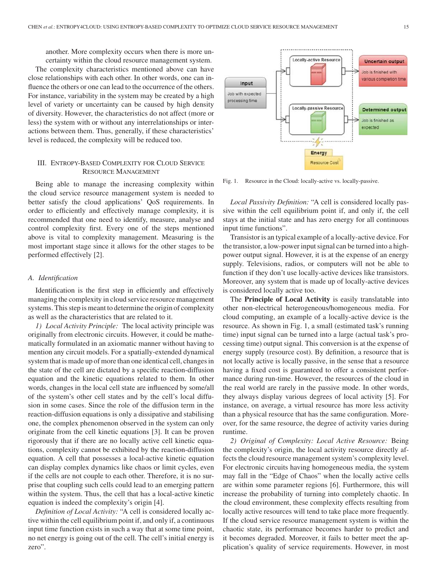another. More complexity occurs when there is more uncertainty within the cloud resource management system.

The complexity characteristics mentioned above can have close relationships with each other. In other words, one can influence the others or one can lead to the occurrence of the others. For instance, variability in the system may be created by a high level of variety or uncertainty can be caused by high density of diversity. However, the characteristics do not affect (more or less) the system with or without any interrelationships or interactions between them. Thus, generally, if these characteristics' level is reduced, the complexity will be reduced too.

#### III. ENTROPY-BASED COMPLEXITY FOR CLOUD SERVICE RESOURCE MANAGEMENT

Being able to manage the increasing complexity within the cloud service resource management system is needed to better satisfy the cloud applications' QoS requirements. In order to efficiently and effectively manage complexity, it is recommended that one need to identify, measure, analyse and control complexity first. Every one of the steps mentioned above is vital to complexity management. Measuring is the most important stage since it allows for the other stages to be performed effectively [2].

#### *A. Identification*

Identification is the first step in efficiently and effectively managing the complexity in cloud service resource management systems. This step is meant to determine the origin of complexity as well as the characteristics that are related to it.

*1) Local Activity Principle:* The local activity principle was originally from electronic circuits. However, it could be mathematically formulated in an axiomatic manner without having to mention any circuit models. For a spatially-extended dynamical system that is made up of more than one identical cell, changes in the state of the cell are dictated by a specific reaction-diffusion equation and the kinetic equations related to them. In other words, changes in the local cell state are influenced by some/all of the system's other cell states and by the cell's local diffusion in some cases. Since the role of the diffusion term in the reaction-diffusion equations is only a dissipative and stabilising one, the complex phenomenon observed in the system can only originate from the cell kinetic equations [3]. It can be proven rigorously that if there are no locally active cell kinetic equations, complexity cannot be exhibited by the reaction-diffusion equation. A cell that possesses a local-active kinetic equation can display complex dynamics like chaos or limit cycles, even if the cells are not couple to each other. Therefore, it is no surprise that coupling such cells could lead to an emerging pattern within the system. Thus, the cell that has a local-active kinetic equation is indeed the complexity's origin [4].

*Definition of Local Activity:* "A cell is considered locally active within the cell equilibrium point if, and only if, a continuous input time function exists in such a way that at some time point, no net energy is going out of the cell. The cell's initial energy is zero".



Fig. 1. Resource in the Cloud: locally-active vs. locally-passive.

*Local Passivity Definition:* "A cell is considered locally passive within the cell equilibrium point if, and only if, the cell stays at the initial state and has zero energy for all continuous input time functions".

Transistor is an typical example of a locally-active device. For the transistor, a low-power input signal can be turned into a highpower output signal. However, it is at the expense of an energy supply. Televisions, radios, or computers will not be able to function if they don't use locally-active devices like transistors. Moreover, any system that is made up of locally-active devices is considered locally active too.

The **Principle of Local Activity** is easily translatable into other non-electrical heterogeneous/homogeneous media. For cloud computing, an example of a locally-active device is the resource. As shown in Fig. 1, a small (estimated task's running time) input signal can be turned into a large (actual task's processing time) output signal. This conversion is at the expense of energy supply (resource cost). By definition, a resource that is not locally active is locally passive, in the sense that a resource having a fixed cost is guaranteed to offer a consistent performance during run-time. However, the resources of the cloud in the real world are rarely in the passive mode. In other words, they always display various degrees of local activity [5]. For instance, on average, a virtual resource has more less activity than a physical resource that has the same configuration. Moreover, for the same resource, the degree of activity varies during runtime.

*2) Original of Complexity: Local Active Resource:* Being the complexity's origin, the local activity resource directly affects the cloud resource management system's complexity level. For electronic circuits having homogeneous media, the system may fall in the "Edge of Chaos" when the locally active cells are within some parameter regions [6]. Furthermore, this will increase the probability of turning into completely chaotic. In the cloud environment, these complexity effects resulting from locally active resources will tend to take place more frequently. If the cloud service resource management system is within the chaotic state, its performance becomes harder to predict and it becomes degraded. Moreover, it fails to better meet the application's quality of service requirements. However, in most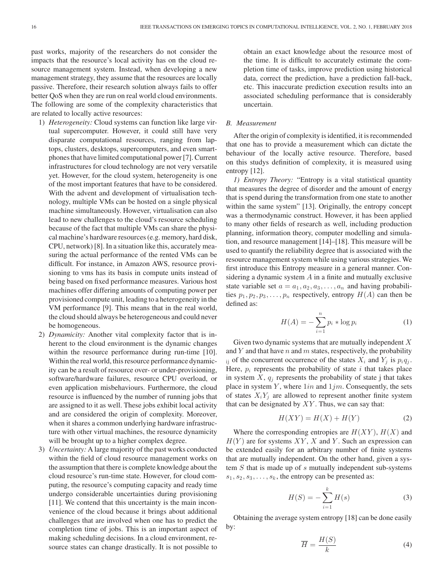past works, majority of the researchers do not consider the impacts that the resource's local activity has on the cloud resource management system. Instead, when developing a new management strategy, they assume that the resources are locally passive. Therefore, their research solution always fails to offer better QoS when they are run on real world cloud environments. The following are some of the complexity characteristics that are related to locally active resources:

- 1) *Heterogeneity:* Cloud systems can function like large virtual supercomputer. However, it could still have very disparate computational resources, ranging from laptops, clusters, desktops, supercomputers, and even smartphones that have limited computational power [7]. Current infrastructures for cloud technology are not very versatile yet. However, for the cloud system, heterogeneity is one of the most important features that have to be considered. With the advent and development of virtualisation technology, multiple VMs can be hosted on a single physical machine simultaneously. However, virtualisation can also lead to new challenges to the cloud's resource scheduling because of the fact that multiple VMs can share the physical machine's hardware resources (e.g. memory, hard disk, CPU, network) [8]. In a situation like this, accurately measuring the actual performance of the rented VMs can be difficult. For instance, in Amazon AWS, resource provisioning to vms has its basis in compute units instead of being based on fixed performance measures. Various host machines offer differing amounts of computing power per provisioned compute unit, leading to a heterogeneity in the VM performance [9]. This means that in the real world, the cloud should always be heterogeneous and could never be homogeneous.
- 2) *Dynamicity:* Another vital complexity factor that is inherent to the cloud environment is the dynamic changes within the resource performance during run-time [10]. Within the real world, this resource performance dynamicity can be a result of resource over- or under-provisioning, software/hardware failures, resource CPU overload, or even application misbehaviours. Furthermore, the cloud resource is influenced by the number of running jobs that are assigned to it as well. These jobs exhibit local activity and are considered the origin of complexity. Moreover, when it shares a common underlying hardware infrastructure with other virtual machines, the resource dynamicity will be brought up to a higher complex degree.
- 3) *Uncertainty:* A large majority of the past works conducted within the field of cloud resource management works on the assumption that there is complete knowledge about the cloud resource's run-time state. However, for cloud computing, the resource's computing capacity and ready time undergo considerable uncertainties during provisioning [11]. We contend that this uncertainty is the main inconvenience of the cloud because it brings about additional challenges that are involved when one has to predict the completion time of jobs. This is an important aspect of making scheduling decisions. In a cloud environment, resource states can change drastically. It is not possible to

obtain an exact knowledge about the resource most of the time. It is difficult to accurately estimate the completion time of tasks, improve prediction using historical data, correct the prediction, have a prediction fall-back, etc. This inaccurate prediction execution results into an associated scheduling performance that is considerably uncertain.

#### *B. Measurement*

After the origin of complexity is identified, it is recommended that one has to provide a measurement which can dictate the behaviour of the locally active resource. Therefore, based on this studys definition of complexity, it is measured using entropy [12].

*1) Entropy Theory:* "Entropy is a vital statistical quantity that measures the degree of disorder and the amount of energy that is spend during the transformation from one state to another within the same system" [13]. Originally, the entropy concept was a thermodynamic construct. However, it has been applied to many other fields of research as well, including production planning, information theory, computer modelling and simulation, and resource management [14]–[18]. This measure will be used to quantify the reliability degree that is associated with the resource management system while using various strategies. We first introduce this Entropy measure in a general manner. Considering a dynamic system  $A$  in a finite and mutually exclusive state variable set  $a = a_1, a_2, a_3, \ldots, a_n$  and having probabilities  $p_1, p_2, p_3, \ldots, p_n$  respectively, entropy  $H(A)$  can then be defined as:

$$
H(A) = -\sum_{i=1}^{n} p_i * \log p_i \tag{1}
$$

Given two dynamic systems that are mutually independent  $X$ and Y and that have  $n$  and  $m$  states, respectively, the probability ij of the concurrent occurrence of the states  $X_i$  and  $Y_j$  is  $p_i q_j$ . Here,  $p_i$  represents the probability of state i that takes place in system  $X$ ,  $q_i$  represents the probability of state j that takes place in system  $Y$ , where  $1in$  and  $1jm$ . Consequently, the sets of states  $X_i Y_i$  are allowed to represent another finite system that can be designated by  $XY$ . Thus, we can say that:

$$
H(XY) = H(X) + H(Y)
$$
 (2)

Where the corresponding entropies are  $H(XY)$ ,  $H(X)$  and  $H(Y)$  are for systems  $XY$ , X and Y. Such an expression can be extended easily for an arbitrary number of finite systems that are mutually independent. On the other hand, given a system  $S$  that is made up of  $s$  mutually independent sub-systems  $s_1, s_2, s_3, \ldots, s_k$ , the entropy can be presented as:

$$
H(S) = -\sum_{i=1}^{k} H(s)
$$
 (3)

Obtaining the average system entropy [18] can be done easily by:

$$
\overline{H} = \frac{H(S)}{k} \tag{4}
$$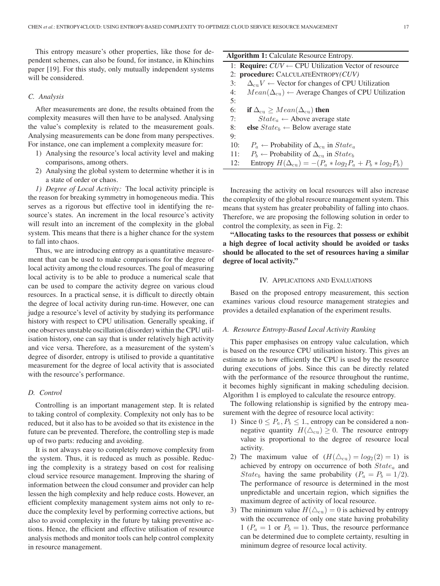This entropy measure's other properties, like those for dependent schemes, can also be found, for instance, in Khinchins paper [19]. For this study, only mutually independent systems will be considered.

#### *C. Analysis*

After measurements are done, the results obtained from the complexity measures will then have to be analysed. Analysing the value's complexity is related to the measurement goals. Analysing measurements can be done from many perspectives. For instance, one can implement a complexity measure for:

- 1) Analysing the resource's local activity level and making comparisons, among others.
- 2) Analysing the global system to determine whether it is in a state of order or chaos.

*1) Degree of Local Activity:* The local activity principle is the reason for breaking symmetry in homogeneous media. This serves as a rigorous but effective tool in identifying the resource's states. An increment in the local resource's activity will result into an increment of the complexity in the global system. This means that there is a higher chance for the system to fall into chaos.

Thus, we are introducing entropy as a quantitative measurement that can be used to make comparisons for the degree of local activity among the cloud resources. The goal of measuring local activity is to be able to produce a numerical scale that can be used to compare the activity degree on various cloud resources. In a practical sense, it is difficult to directly obtain the degree of local activity during run-time. However, one can judge a resource's level of activity by studying its performance history with respect to CPU utilisation. Generally speaking, if one observes unstable oscillation (disorder) within the CPU utilisation history, one can say that is under relatively high activity and vice versa. Therefore, as a measurement of the system's degree of disorder, entropy is utilised to provide a quantitative measurement for the degree of local activity that is associated with the resource's performance.

#### *D. Control*

Controlling is an important management step. It is related to taking control of complexity. Complexity not only has to be reduced, but it also has to be avoided so that its existence in the future can be prevented. Therefore, the controlling step is made up of two parts: reducing and avoiding.

It is not always easy to completely remove complexity from the system. Thus, it is reduced as much as possible. Reducing the complexity is a strategy based on cost for realising cloud service resource management. Improving the sharing of information between the cloud consumer and provider can help lessen the high complexity and help reduce costs. However, an efficient complexity management system aims not only to reduce the complexity level by performing corrective actions, but also to avoid complexity in the future by taking preventive actions. Hence, the efficient and effective utilisation of resource analysis methods and monitor tools can help control complexity in resource management.

| <b>Algorithm 1: Calculate Resource Entropy.</b> |                                                                        |  |  |  |
|-------------------------------------------------|------------------------------------------------------------------------|--|--|--|
|                                                 | 1: <b>Require:</b> $CUV \leftarrow CPU$ Utilization Vector of resource |  |  |  |
|                                                 | 2: procedure: CALCULATEENTROPY(CUV)                                    |  |  |  |
| $\mathcal{E}$ :                                 | $\Delta_{\rm cu} V \leftarrow$ Vector for changes of CPU Utilization   |  |  |  |
| 4:                                              | $Mean(\Delta_{cu}) \leftarrow Average Changes$ of CPU Utilization      |  |  |  |
| 5:                                              |                                                                        |  |  |  |
| 6:                                              | if $\Delta_{\rm cu} \geq Mean(\Delta_{\rm cu})$ then                   |  |  |  |
| 7:                                              | $State_a \leftarrow$ Above average state                               |  |  |  |
| 8:                                              | <b>else</b> $State_b \leftarrow$ Below average state                   |  |  |  |
| 9:                                              |                                                                        |  |  |  |
|                                                 | 10:<br>$P_a \leftarrow$ Probability of $\Delta_{cu}$ in $State_a$      |  |  |  |
|                                                 | 11:<br>$P_b \leftarrow$ Probability of $\Delta_{cu}$ in $State_b$      |  |  |  |
|                                                 | Entropy $H(\Delta_{cu}) = -(P_a * log_2 P_a + P_b * log_2 P_b)$<br>12: |  |  |  |

Increasing the activity on local resources will also increase the complexity of the global resource management system. This means that system has greater probability of falling into chaos. Therefore, we are proposing the following solution in order to control the complexity, as seen in Fig. 2:

**"Allocating tasks to the resources that possess or exhibit a high degree of local activity should be avoided or tasks should be allocated to the set of resources having a similar degree of local activity."**

#### IV. APPLICATIONS AND EVALUATIONS

Based on the proposed entropy measurement, this section examines various cloud resource management strategies and provides a detailed explanation of the experiment results.

#### *A. Resource Entropy-Based Local Activity Ranking*

This paper emphasises on entropy value calculation, which is based on the resource CPU utilisation history. This gives an estimate as to how efficiently the CPU is used by the resource during executions of jobs. Since this can be directly related with the performance of the resource throughout the runtime, it becomes highly significant in making scheduling decision. Algorithm 1 is employed to calculate the resource entropy.

The following relationship is signified by the entropy measurement with the degree of resource local activity:

- 1) Since  $0 \le P_a$ ,  $P_b \le 1$ ., entropy can be considered a nonnegative quantity  $H(\Delta_{\text{cu}}) \geq 0$ . The resource entropy value is proportional to the degree of resource local activity.
- 2) The maximum value of  $(H(\Delta_{\text{cu}}) = log_2(2) = 1)$  is achieved by entropy on occurrence of both  $State_a$  and *State<sub>b</sub>* having the same probability  $(P_a = P_b = 1/2)$ . The performance of resource is determined in the most unpredictable and uncertain region, which signifies the maximum degree of activity of local resource.
- 3) The minimum value  $H(\triangle_{\rm cu})=0$  is achieved by entropy with the occurrence of only one state having probability 1 ( $P_a = 1$  or  $P_b = 1$ ). Thus, the resource performance can be determined due to complete certainty, resulting in minimum degree of resource local activity.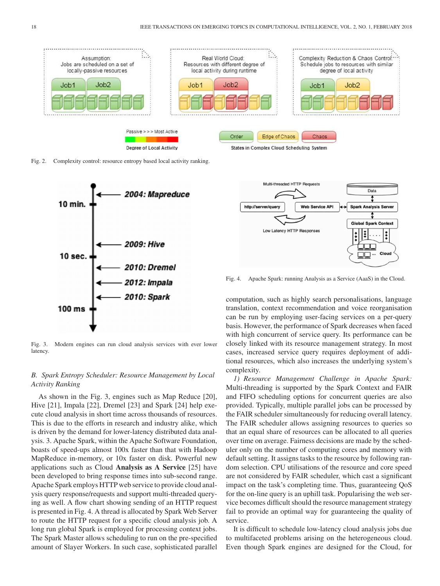

![](_page_6_Figure_2.jpeg)

![](_page_6_Figure_3.jpeg)

Fig. 3. Modern engines can run cloud analysis services with ever lower latency.

#### *B. Spark Entropy Scheduler: Resource Management by Local Activity Ranking*

As shown in the Fig. 3, engines such as Map Reduce [20], Hive [21], Impala [22], Dremel [23] and Spark [24] help execute cloud analysis in short time across thousands of resources. This is due to the efforts in research and industry alike, which is driven by the demand for lower-latency distributed data analysis. 3. Apache Spark, within the Apache Software Foundation, boasts of speed-ups almost 100x faster than that with Hadoop MapReduce in-memory, or 10x faster on disk. Powerful new applications such as Cloud **Analysis as A Service** [25] have been developed to bring response times into sub-second range. Apache Spark employs HTTP web service to provide cloud analysis query response/requests and support multi-threaded querying as well. A flow chart showing sending of an HTTP request is presented in Fig. 4. A thread is allocated by Spark Web Server to route the HTTP request for a specific cloud analysis job. A long run global Spark is employed for processing context jobs. The Spark Master allows scheduling to run on the pre-specified amount of Slayer Workers. In such case, sophisticated parallel

![](_page_6_Figure_7.jpeg)

Fig. 4. Apache Spark: running Analysis as a Service (AaaS) in the Cloud.

computation, such as highly search personalisations, language translation, context recommendation and voice reorganisation can be run by employing user-facing services on a per-query basis. However, the performance of Spark decreases when faced with high concurrent of service query. Its performance can be closely linked with its resource management strategy. In most cases, increased service query requires deployment of additional resources, which also increases the underlying system's complexity.

*1) Resource Management Challenge in Apache Spark:* Multi-threading is supported by the Spark Context and FAIR and FIFO scheduling options for concurrent queries are also provided. Typically, multiple parallel jobs can be processed by the FAIR scheduler simultaneously for reducing overall latency. The FAIR scheduler allows assigning resources to queries so that an equal share of resources can be allocated to all queries over time on average. Fairness decisions are made by the scheduler only on the number of computing cores and memory with default setting. It assigns tasks to the resource by following random selection. CPU utilisations of the resource and core speed are not considered by FAIR scheduler, which cast a significant impact on the task's completing time. Thus, guaranteeing QoS for the on-line query is an uphill task. Popularising the web service becomes difficult should the resource management strategy fail to provide an optimal way for guaranteeing the quality of service.

It is difficult to schedule low-latency cloud analysis jobs due to multifaceted problems arising on the heterogeneous cloud. Even though Spark engines are designed for the Cloud, for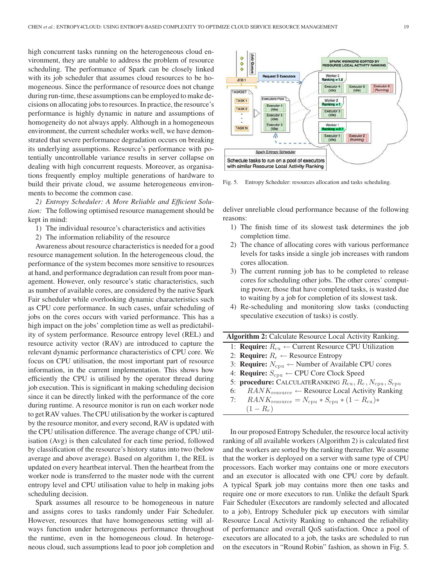high concurrent tasks running on the heterogeneous cloud environment, they are unable to address the problem of resource scheduling. The performance of Spark can be closely linked with its job scheduler that assumes cloud resources to be homogeneous. Since the performance of resource does not change during run-time, these assumptions can be employed to make decisions on allocating jobs to resources. In practice, the resource's performance is highly dynamic in nature and assumptions of homogeneity do not always apply. Although in a homogeneous environment, the current scheduler works well, we have demonstrated that severe performance degradation occurs on breaking its underlying assumptions. Resource's performance with potentially uncontrollable variance results in server collapse on dealing with high concurrent requests. Moreover, as organisations frequently employ multiple generations of hardware to build their private cloud, we assume heterogeneous environments to become the common case.

*2) Entropy Scheduler: A More Reliable and Efficient Solution:* The following optimised resource management should be kept in mind:

- 1) The individual resource's characteristics and activities
- 2) The information reliability of the resource

Awareness about resource characteristics is needed for a good resource management solution. In the heterogeneous cloud, the performance of the system becomes more sensitive to resources at hand, and performance degradation can result from poor management. However, only resource's static characteristics, such as number of available cores, are considered by the native Spark Fair scheduler while overlooking dynamic characteristics such as CPU core performance. In such cases, unfair scheduling of jobs on the cores occurs with varied performance. This has a high impact on the jobs' completion time as well as predictability of system performance. Resource entropy level (REL) and resource activity vector (RAV) are introduced to capture the relevant dynamic performance characteristics of CPU core. We focus on CPU utilisation, the most important part of resource information, in the current implementation. This shows how efficiently the CPU is utilised by the operator thread during job execution. This is significant in making scheduling decision since it can be directly linked with the performance of the core during runtime. A resource monitor is run on each worker node to get RAV values. The CPU utilisation by the worker is captured by the resource monitor, and every second, RAV is updated with the CPU utilisation difference. The average change of CPU utilisation (Avg) is then calculated for each time period, followed by classification of the resource's history status into two (below average and above average). Based on algorithm 1, the REL is updated on every heartbeat interval. Then the heartbeat from the worker node is transferred to the master node with the current entropy level and CPU utilisation value to help in making jobs scheduling decision.

Spark assumes all resource to be homogeneous in nature and assigns cores to tasks randomly under Fair Scheduler. However, resources that have homogeneous setting will always function under heterogeneous performance throughout the runtime, even in the homogeneous cloud. In heterogeneous cloud, such assumptions lead to poor job completion and

![](_page_7_Figure_7.jpeg)

Fig. 5. Entropy Scheduler: resources allocation and tasks scheduling.

deliver unreliable cloud performance because of the following reasons:

- 1) The finish time of its slowest task determines the job completion time.
- 2) The chance of allocating cores with various performance levels for tasks inside a single job increases with random cores allocation.
- 3) The current running job has to be completed to release cores for scheduling other jobs. The other cores' computing power, those that have completed tasks, is wasted due to waiting by a job for completion of its slowest task.
- 4) Re-scheduling and monitoring slow tasks (conducting speculative execution of tasks) is costly.

**Algorithm 2:** Calculate Resource Local Activity Ranking.

- 1: **Require:**  $R_{\text{cu}} \leftarrow$  Current Resource CPU Utilization
- 2: **Require:**  $R_e \leftarrow$  Resource Entropy
- 3: **Require:**  $N_{\text{cpu}} \leftarrow$  Number of Available CPU cores
- 4: **Require:** Scpu ← CPU Core Clock Speed
- 5: **procedure:** CALCULATERANKING  $R_{cu}$ ,  $R_e$ ,  $N_{cpu}$ ,  $S_{cpu}$
- 6:  $RANK_{\text{resource}} \leftarrow$  Resource Local Activity Ranking
- 7:  $RANK_{\text{resource}} = N_{\text{cpu}} * S_{\text{cpu}} * (1 R_{\text{cu}}) *$
- $(1 R_e)$

In our proposed Entropy Scheduler, the resource local activity ranking of all available workers (Algorithm 2) is calculated first and the workers are sorted by the ranking thereafter. We assume that the worker is deployed on a server with same type of CPU processors. Each worker may contains one or more executors and an executor is allocated with one CPU core by default. A typical Spark job may contains more then one tasks and require one or more executors to run. Unlike the default Spark Fair Scheduler (Executors are randomly selected and allocated to a job), Entropy Scheduler pick up executors with similar Resource Local Activity Ranking to enhanced the reliability of performance and overall QoS satisfaction. Once a pool of executors are allocated to a job, the tasks are scheduled to run on the executors in "Round Robin" fashion, as shown in Fig. 5.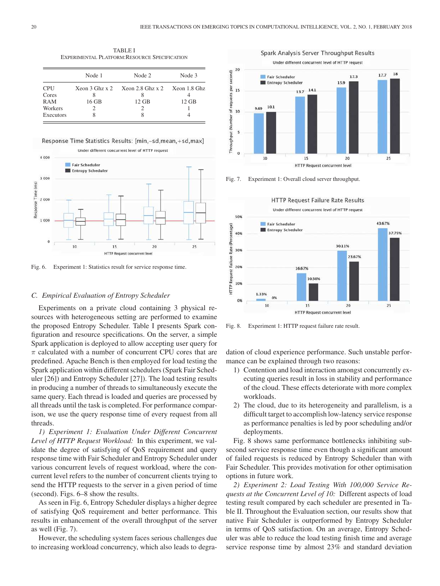| <b>TABLE I</b>                                |  |  |  |
|-----------------------------------------------|--|--|--|
| EXPERIMENTAL PLATFORM: RESOURCE SPECIFICATION |  |  |  |

|            | Node 1  | Node 2                                  | Node 3       |
|------------|---------|-----------------------------------------|--------------|
| <b>CPU</b> |         | Xeon $3$ Ghz x $2$ Xeon $2.8$ Ghz x $2$ | Xeon 1.8 Ghz |
| Cores      |         |                                         |              |
| RAM        | $16$ GB | $12$ GB                                 | $12$ GB      |
| Workers    |         |                                         |              |
| Executors  |         |                                         |              |

Response Time Statistics Results: [min,-sd,mean,+sd,max]

![](_page_8_Figure_4.jpeg)

Fig. 6. Experiment 1: Statistics result for service response time.

#### *C. Empirical Evaluation of Entropy Scheduler*

Experiments on a private cloud containing 3 physical resources with heterogeneous setting are performed to examine the proposed Entropy Scheduler. Table I presents Spark configuration and resource specifications. On the server, a simple Spark application is deployed to allow accepting user query for  $\pi$  calculated with a number of concurrent CPU cores that are predefined. Apache Bench is then employed for load testing the Spark application within different schedulers (Spark Fair Scheduler [26]) and Entropy Scheduler [27]). The load testing results in producing a number of threads to simultaneously execute the same query. Each thread is loaded and queries are processed by all threads until the task is completed. For performance comparison, we use the query response time of every request from all threads.

*1) Experiment 1: Evaluation Under Different Concurrent Level of HTTP Request Workload:* In this experiment, we validate the degree of satisfying of QoS requirement and query response time with Fair Scheduler and Entropy Scheduler under various concurrent levels of request workload, where the concurrent level refers to the number of concurrent clients trying to send the HTTP requests to the server in a given period of time (second). Figs. 6–8 show the results.

As seen in Fig. 6, Entropy Scheduler displays a higher degree of satisfying QoS requirement and better performance. This results in enhancement of the overall throughput of the server as well (Fig. 7).

However, the scheduling system faces serious challenges due to increasing workload concurrency, which also leads to degra-

Spark Analysis Server Throughput Results Under different concurrent level of HTTP request  $17.7$ 

![](_page_8_Figure_12.jpeg)

![](_page_8_Figure_13.jpeg)

![](_page_8_Figure_14.jpeg)

Fig. 8. Experiment 1: HTTP request failure rate result.

dation of cloud experience performance. Such unstable performance can be explained through two reasons:

- 1) Contention and load interaction amongst concurrently executing queries result in loss in stability and performance of the cloud. These effects deteriorate with more complex workloads.
- 2) The cloud, due to its heterogeneity and parallelism, is a difficult target to accomplish low-latency service response as performance penalties is led by poor scheduling and/or deployments.

Fig. 8 shows same performance bottlenecks inhibiting subsecond service response time even though a significant amount of failed requests is reduced by Entropy Scheduler than with Fair Scheduler. This provides motivation for other optimisation options in future work.

*2) Experiment 2: Load Testing With 100,000 Service Requests at the Concurrent Level of 10:* Different aspects of load testing result compared by each scheduler are presented in Table II. Throughout the Evaluation section, our results show that native Fair Scheduler is outperformed by Entropy Scheduler in terms of QoS satisfaction. On an average, Entropy Scheduler was able to reduce the load testing finish time and average service response time by almost 23% and standard deviation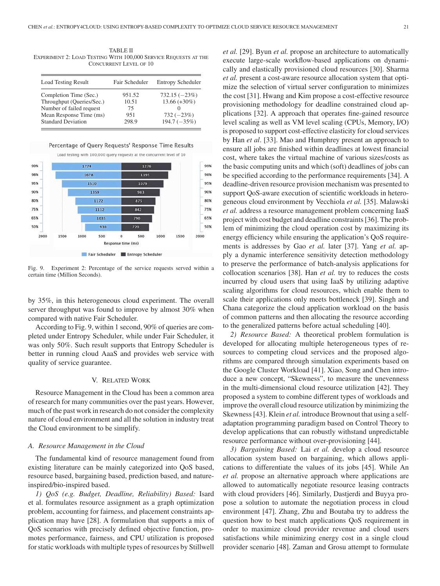TABLE II EXPERIMENT 2: LOAD TESTING WITH 100,000 SERVICE REQUESTS AT THE CONCURRENT LEVEL OF 10

| <b>Load Testing Result</b> | Fair Scheduler | <b>Entropy Scheduler</b> |
|----------------------------|----------------|--------------------------|
| Completion Time (Sec.)     | 951.52         | $732.15(-23%)$           |
| Throughput (Queries/Sec.)  | 10.51          | $13.66 (+30\%)$          |
| Number of failed request   | 75             |                          |
| Mean Response Time (ms)    | 951            | $732 (-23%)$             |
| <b>Standard Deviation</b>  | 298.9          | $194.7 (-35%)$           |

Percentage of Query Requests' Response Time Results

![](_page_9_Figure_4.jpeg)

Fig. 9. Experiment 2: Percentage of the service requests served within a certain time (Million Seconds).

by 35%, in this heterogeneous cloud experiment. The overall server throughput was found to improve by almost 30% when compared with native Fair Scheduler.

According to Fig. 9, within 1 second, 90% of queries are completed under Entropy Scheduler, while under Fair Scheduler, it was only 50%. Such result supports that Entropy Scheduler is better in running cloud AaaS and provides web service with quality of service guarantee.

#### V. RELATED WORK

Resource Management in the Cloud has been a common area of research for many communities over the past years. However, much of the past work in research do not consider the complexity nature of cloud environment and all the solution in industry treat the Cloud environment to be simplify.

#### *A. Resource Management in the Cloud*

The fundamental kind of resource management found from existing literature can be mainly categorized into QoS based, resource based, bargaining based, prediction based, and natureinspired/bio-inspired based.

*1) QoS (e.g. Budget, Deadline, Reliability) Based:* Isard et al. formulates resource assignment as a graph optimization problem, accounting for fairness, and placement constraints application may have [28]. A formulation that supports a mix of QoS scenarios with precisely defined objective function, promotes performance, fairness, and CPU utilization is proposed for static workloads with multiple types of resources by Stillwell

*et al.* [29]. Byun *et al.* propose an architecture to automatically execute large-scale workflow-based applications on dynamically and elastically provisioned cloud resources [30]. Sharma *et al.* present a cost-aware resource allocation system that optimize the selection of virtual server configuration to minimizes the cost [31]. Hwang and Kim propose a cost-effective resource provisioning methodology for deadline constrained cloud applications [32]. A approach that operates fine-gained resource level scaling as well as VM level scaling (CPUs, Memory, I/O) is proposed to support cost-effective elasticity for cloud services by Han *et al*. [33]. Mao and Humphrey present an approach to ensure all jobs are finished within deadlines at lowest financial cost, where takes the virtual machine of various sizes/costs as the basic computing units and which (soft) deadlines of jobs can be specified according to the performance requirements [34]. A deadline-driven resource provision mechanism was presented to support QoS-aware execution of scientific workloads in heterogeneous cloud environment by Vecchiola *et al.* [35]. Malawski *et al.* address a resource management problem concerning IaaS project with cost budget and deadline constraints [36]. The problem of minimizing the cloud operation cost by maximizing its energy efficiency while ensuring the application's QoS requirements is addresses by Gao *et al.* later [37]. Yang *et al.* apply a dynamic interference sensitivity detection methodology to preserve the performance of batch-analysis applications for collocation scenarios [38]. Han *et al.* try to reduces the costs incurred by cloud users that using IaaS by utilizing adaptive scaling algorithms for cloud resources, which enable them to scale their applications only meets bottleneck [39]. Singh and Chana categorize the cloud application workload on the basis of common patterns and then allocating the resource according to the generalized patterns before actual scheduling [40].

*2) Resource Based:* A theoretical problem formulation is developed for allocating multiple heterogeneous types of resources to competing cloud services and the proposed algorithms are compared through simulation experiments based on the Google Cluster Workload [41]. Xiao, Song and Chen introduce a new concept, "Skewness", to measure the unevenness in the multi-dimensional cloud resource utilization [42]. They proposed a system to combine different types of workloads and improve the overall cloud resource utilization by minimizing the Skewness [43]. Klein *et al.* introduce Brownout that using a selfadaptation programming paradigm based on Control Theory to develop applications that can robustly withstand unpredictable resource performance without over-provisioning [44].

*3) Bargaining Based:* Lai *et al.* develop a cloud resource allocation system based on bargaining, which allows applications to differentiate the values of its jobs [45]. While An *et al.* propose an alternative approach where applications are allowed to automatically negotiate resource leasing contracts with cloud providers [46]. Similarly, Dastjerdi and Buyya propose a solution to automate the negotiation process in cloud environment [47]. Zhang, Zhu and Boutaba try to address the question how to best match applications QoS requirement in order to maximize cloud provider revenue and cloud users satisfactions while minimizing energy cost in a single cloud provider scenario [48]. Zaman and Grosu attempt to formulate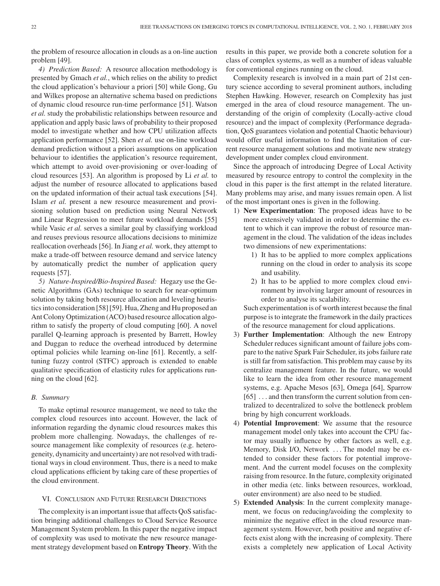the problem of resource allocation in clouds as a on-line auction problem [49].

*4) Prediction Based:* A resource allocation methodology is presented by Gmach *et al.*, which relies on the ability to predict the cloud application's behaviour a priori [50] while Gong, Gu and Wilkes propose an alternative schema based on predictions of dynamic cloud resource run-time performance [51]. Watson *et al.* study the probabilistic relationships between resource and application and apply basic laws of probability to their proposed model to investigate whether and how CPU utilization affects application performance [52]. Shen *et al.* use on-line workload demand prediction without a priori assumptions on application behaviour to identifies the application's resource requirement, which attempt to avoid over-provisioning or over-loading of cloud resources [53]. An algorithm is proposed by Li *et al.* to adjust the number of resource allocated to applications based on the updated information of their actual task executions [54]. Islam *et al.* present a new resource measurement and provisioning solution based on prediction using Neural Network and Linear Regression to meet future workload demands [55] while Vasic *et al.* serves a similar goal by classifying workload and reuses previous resource allocations decisions to minimize reallocation overheads [56]. In Jiang *et al.* work, they attempt to make a trade-off between resource demand and service latency by automatically predict the number of application query requests [57].

*5) Nature-Inspired/Bio-Inspired Based:* Hegazy use the Genetic Algorithms (GAs) technique to search for near-optimum solution by taking both resource allocation and leveling heuristics into consideration [58] [59]. Hua, Zheng and Hu proposed an Ant Colony Optimization (ACO) based resource allocation algorithm to satisfy the property of cloud computing [60]. A novel parallel Q-learning approach is presented by Barrett, Howley and Duggan to reduce the overhead introduced by determine optimal policies while learning on-line [61]. Recently, a selftuning fuzzy control (STFC) approach is extended to enable qualitative specification of elasticity rules for applications running on the cloud [62].

#### *B. Summary*

To make optimal resource management, we need to take the complex cloud resources into account. However, the lack of information regarding the dynamic cloud resources makes this problem more challenging. Nowadays, the challenges of resource management like complexity of resources (e.g. heterogeneity, dynamicity and uncertainty) are not resolved with traditional ways in cloud environment. Thus, there is a need to make cloud applications efficient by taking care of these properties of the cloud environment.

#### VI. CONCLUSION AND FUTURE RESEARCH DIRECTIONS

The complexity is an important issue that affects QoS satisfaction bringing additional challenges to Cloud Service Resource Management System problem. In this paper the negative impact of complexity was used to motivate the new resource management strategy development based on **Entropy Theory**. With the results in this paper, we provide both a concrete solution for a class of complex systems, as well as a number of ideas valuable for conventional engines running on the cloud.

Complexity research is involved in a main part of 21st century science according to several prominent authors, including Stephen Hawking. However, research on Complexity has just emerged in the area of cloud resource management. The understanding of the origin of complexity (Locally-active cloud resource) and the impact of complexity (Performance degradation, QoS guarantees violation and potential Chaotic behaviour) would offer useful information to find the limitation of current resource management solutions and motivate new strategy development under complex cloud environment.

Since the approach of introducing Degree of Local Activity measured by resource entropy to control the complexity in the cloud in this paper is the first attempt in the related literature. Many problems may arise, and many issues remain open. A list of the most important ones is given in the following.

- 1) **New Experimentation**: The proposed ideas have to be more extensively validated in order to determine the extent to which it can improve the robust of resource management in the cloud. The validation of the ideas includes two dimensions of new experimentations:
	- 1) It has to be applied to more complex applications running on the cloud in order to analysis its scope and usability.
	- 2) It has to be applied to more complex cloud environment by involving larger amount of resources in order to analyse its scalability.

Such experimentation is of worth interest because the final purpose is to integrate the framework in the daily practices of the resource management for cloud applications.

- 3) **Further Implementation**: Although the new Entropy Scheduler reduces significant amount of failure jobs compare to the native Spark Fair Scheduler, its jobs failure rate is still far from satisfaction. This problem may cause by its centralize management feature. In the future, we would like to learn the idea from other resource management systems, e.g. Apache Mesos [63], Omega [64], Sparrow [65] . . . and then transform the current solution from centralized to decentralized to solve the bottleneck problem bring by high concurrent workloads.
- 4) **Potential Improvement**: We assume that the resource management model only takes into account the CPU factor may usually influence by other factors as well, e.g. Memory, Disk I/O, Network . . . The model may be extended to consider these factors for potential improvement. And the current model focuses on the complexity raising from resource. In the future, complexity originated in other media (etc. links between resources, workload, outer environment) are also need to be studied.
- 5) **Extended Analysis**: In the current complexity management, we focus on reducing/avoiding the complexity to minimize the negative effect in the cloud resource management system. However, both positive and negative effects exist along with the increasing of complexity. There exists a completely new application of Local Activity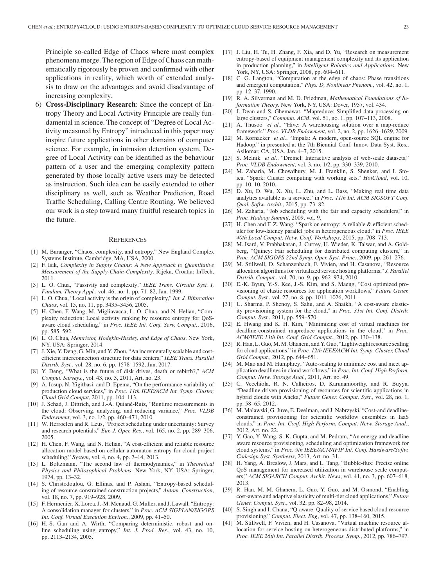Principle so-called Edge of Chaos where most complex phenomena merge. The region of Edge of Chaos can mathematically rigorously be proven and confirmed with other applications in reality, which worth of extended analysis to draw on the advantages and avoid disadvantage of increasing complexity.

6) **Cross-Disciplinary Research**: Since the concept of Entropy Theory and Local Activity Principle are really fundamental in science. The concept of "Degree of Local Activity measured by Entropy" introduced in this paper may inspire future applications in other domains of computer science. For example, in intrusion detention system, Degree of Local Activity can be identified as the behaviour pattern of a user and the emerging complexity pattern generated by those locally active users may be detected as instruction. Such idea can be easily extended to other disciplinary as well, such as Weather Prediction, Road Traffic Scheduling, Calling Centre Routing. We believed our work is a step toward many fruitful research topics in the future.

#### **REFERENCES**

- [1] M. Baranger, "Chaos, complexity, and entropy," New England Complex Systems Institute, Cambridge, MA, USA, 2000.
- [2] F. Isik, *Complexity in Supply Chains: A New Approach to Quantitative Measurement of the Supply-Chain-Complexity*. Rijeka, Croatia: InTech, 2011.
- [3] L. O. Chua, "Passivity and complexity," *IEEE Trans. Circuits Syst. I, Fundam. Theory Appl.*, vol. 46, no. 1, pp. 71–82, Jan. 1999.
- [4] L. O. Chua, "Local activity is the origin of complexity," *Int. J. Bifurcation Chaos*, vol. 15, no. 11, pp. 3435–3456, 2005.
- [5] H. Chen, F. Wang, M. Migliavacca, L. O. Chua, and N. Helian, "Complexity reduction: Local activity ranking by resource entropy for QoSaware cloud scheduling," in *Proc. IEEE Int. Conf. Serv. Comput.*, 2016, pp. 585–592.
- [6] L. O. Chua, *Memristor, Hodgkin-Huxley, and Edge of Chaos*. New York, NY, USA: Springer, 2014.
- [7] J. Xie, Y. Deng, G. Min, and Y. Zhou, "An incrementally scalable and costefficient interconnection structure for data centers," *IEEE Trans. Parallel Distrib. Syst.*, vol. 28, no. 6, pp. 1578–1592, Jun. 2017.
- [8] Y. Deng, "What is the future of disk drives, death or rebirth?," *ACM Comput. Surveys.*, vol. 43, no. 3, 2011, Art. no. 23.
- [9] A. Iosup, N. Yigitbasi, and D. Epema, "On the performance variability of production cloud services," in *Proc. 11th IEEE/ACM Int. Symp. Cluster*, *Cloud Grid Comput*, 2011, pp. 104–113.
- [10] J. Schad, J. Dittrich, and J.-A. Quiané-Ruiz, "Runtime measurements in the cloud: Observing, analyzing, and reducing variance," *Proc. VLDB Endowment*, vol. 3, no. 1/2, pp. 460–471, 2010.
- [11] W. Herroelen and R. Leus, "Project scheduling under uncertainty: Survey and research potentials," *Eur. J. Oper. Res.*, vol. 165, no. 2, pp. 289–306, 2005.
- [12] H. Chen, F. Wang, and N. Helian, "A cost-efficient and reliable resource allocation model based on cellular automaton entropy for cloud project scheduling," *System*, vol. 4, no. 4, pp. 7–14, 2013.
- [13] L. Boltzmann, "The second law of thermodynamics," in *Theoretical Physics and Philosophical Problems*. New York, NY, USA: Springer, 1974, pp. 13–32.
- [14] S. Christodoulou, G. Ellinas, and P. Aslani, "Entropy-based scheduling of resource-constrained construction projects," *Autom. Construction*, vol. 18, no. 7, pp. 919–928, 2009.
- [15] F. Hermenier, X. Lorca, J.-M. Menaud, G. Muller, and J. Lawall, "Entropy: A consolidation manager for clusters," in *Proc. ACM SIGPLAN/SIGOPS Int. Conf. Virtual Execution Environ.*, 2009, pp. 41–50.
- [16] H.-S. Gan and A. Wirth, "Comparing deterministic, robust and online scheduling using entropy," *Int. J. Prod. Res.*, vol. 43, no. 10, pp. 2113–2134, 2005.
- [17] J. Liu, H. Tu, H. Zhang, F. Xia, and D. Yu, "Research on measurement entropy-based of equipment management complexity and its application in production planning," in *Intelligent Robotics and Applications*. New York, NY, USA: Springer, 2008, pp. 604–611.
- [18] C. G. Langton, "Computation at the edge of chaos: Phase transitions and emergent computation," *Phys. D, Nonlinear Phenom.*, vol. 42, no. 1, pp. 12–37, 1990.
- [19] R. A. Silverman and M. D. Friedman, *Mathematical Foundations of Information Theory*. New York, NY, USA: Dover, 1957, vol. 434.
- [20] J. Dean and S. Ghemawat, "Mapreduce: Simplified data processing on large clusters," *Commun. ACM*, vol. 51, no. 1, pp. 107–113, 2008.
- [21] A. Thusoo *et al.*, "Hive: A warehousing solution over a map-reduce framework," *Proc. VLDB Endowment*, vol. 2, no. 2, pp. 1626–1629, 2009.
- [22] M. Kornacker et al., "Impala: A modern, open-source SQL engine for Hadoop," in presented at the 7th Biennial Conf. Innov. Data Syst. Res., Asilomar, CA, USA, Jan. 4–7, 2015.
- [23] S. Melnik *et al.*, "Dremel: Interactive analysis of web-scale datasets," *Proc. VLDB Endowment*, vol. 3, no. 1/2, pp. 330–339, 2010.
- [24] M. Zaharia, M. Chowdhury, M. J. Franklin, S. Shenker, and I. Stoica, "Spark: Cluster computing with working sets," *HotCloud*, vol. 10, pp. 10–10, 2010.
- [25] D. Xu, D. Wu, X. Xu, L. Zhu, and L. Bass, "Making real time data analytics available as a service," in *Proc. 11th Int. ACM SIGSOFT Conf. Qual. Softw. Archit.*, 2015, pp. 73–82.
- [26] M. Zaharia, "Job scheduling with the fair and capacity schedulers," in *Proc. Hadoop Summit*, 2009, vol. 9.
- [27] H. Chen and F. Z. Wang, "Spark on entropy: A reliable & efficient scheduler for low-latency parallel jobs in heterogeneous cloud," in *Proc. IEEE 40th Local Comput. Netw. Conf. Workshops*, 2015, pp. 708–713.
- [28] M. Isard, V. Prabhakaran, J. Currey, U. Wieder, K. Talwar, and A. Goldberg, "Quincy: Fair scheduling for distributed computing clusters," in *Proc. ACM SIGOPS 22nd Symp. Oper. Syst. Princ.*, 2009, pp. 261–276.
- [29] M. Stillwell, D. Schanzenbach, F. Vivien, and H. Casanova, "Resource allocation algorithms for virtualized service hosting platforms," *J. Parallel Distrib. Comput.*, vol. 70, no. 9, pp. 962–974, 2010.
- [30] E.-K. Byun, Y.-S. Kee, J.-S. Kim, and S. Maeng, "Cost optimized provisioning of elastic resources for application workflows," *Future Gener. Comput. Syst.*, vol. 27, no. 8, pp. 1011–1026, 2011.
- [31] U. Sharma, P. Shenoy, S. Sahu, and A. Shaikh, "A cost-aware elasticity provisioning system for the cloud," in *Proc. 31st Int. Conf. Distrib. Comput. Syst.*, 2011, pp. 559–570.
- [32] E. Hwang and K. H. Kim, "Minimizing cost of virtual machines for deadline-constrained mapreduce applications in the cloud," in *Proc. ACM/IEEE 13th Int. Conf. Grid Comput.*, 2012, pp. 130–138.
- [33] R. Han, L. Guo, M. M. Ghanem, and Y. Guo, "Lightweight resource scaling for cloud applications," in *Proc. 12th IEEE/ACM Int. Symp. Cluster, Cloud Grid Comput.*, 2012, pp. 644–651.
- [34] M. Mao and M. Humphrey, "Auto-scaling to minimize cost and meet application deadlines in cloud workflows," in *Proc. Int. Conf. High Perform. Comput. Netw. Storage Anal.*, 2011, Art. no. 49.
- [35] C. Vecchiola, R. N. Calheiros, D. Karunamoorthy, and R. Buyya, "Deadline-driven provisioning of resources for scientific applications in hybrid clouds with Aneka," *Future Gener. Comput. Syst.*, vol. 28, no. 1, pp. 58–65, 2012.
- [36] M. Malawski, G. Juve, E. Deelman, and J. Nabrzyski, "Cost-and deadlineconstrained provisioning for scientific workflow ensembles in IaaS clouds," in *Proc. Int. Conf. High Perform. Comput. Netw. Storage Anal.*, 2012, Art. no. 22.
- [37] Y. Gao, Y. Wang, S. K. Gupta, and M. Pedram, "An energy and deadline aware resource provisioning, scheduling and optimization framework for cloud systems," in *Proc. 9th IEEE/ACM/IFIP Int. Conf. Hardware/Softw. Codesign Syst. Synthesis*, 2013, Art. no. 31.
- [38] H. Yang, A. Breslow, J. Mars, and L. Tang, "Bubble-flux: Precise online QoS management for increased utilization in warehouse scale computers," *ACM SIGARCH Comput. Archit. News*, vol. 41, no. 3, pp. 607–618, 2013.
- [39] R. Han, M. M. Ghanem, L. Guo, Y. Guo, and M. Osmond, "Enabling cost-aware and adaptive elasticity of multi-tier cloud applications," *Future Gener. Comput. Syst.*, vol. 32, pp. 82–98, 2014.
- [40] S. Singh and I. Chana, "Q-aware: Quality of service based cloud resource provisioning," *Comput. Elect. Eng*, vol. 47, pp. 138–160, 2015.
- [41] M. Stillwell, F. Vivien, and H. Casanova, "Virtual machine resource allocation for service hosting on heterogeneous distributed platforms," in *Proc. IEEE 26th Int. Parallel Distrib. Process. Symp.*, 2012, pp. 786–797.